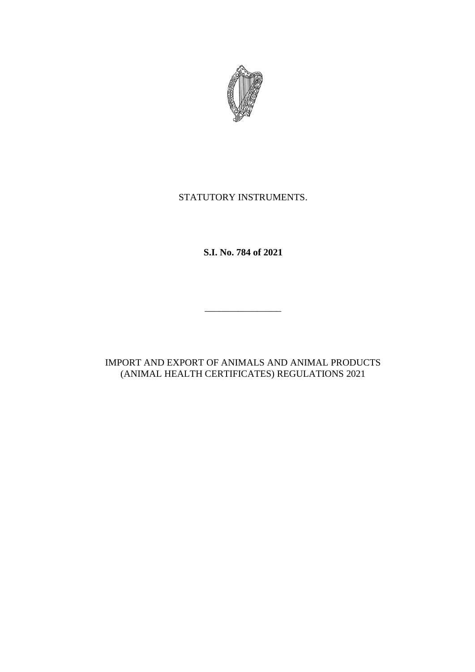

# STATUTORY INSTRUMENTS.

**S.I. No. 784 of 2021**

IMPORT AND EXPORT OF ANIMALS AND ANIMAL PRODUCTS (ANIMAL HEALTH CERTIFICATES) REGULATIONS 2021

\_\_\_\_\_\_\_\_\_\_\_\_\_\_\_\_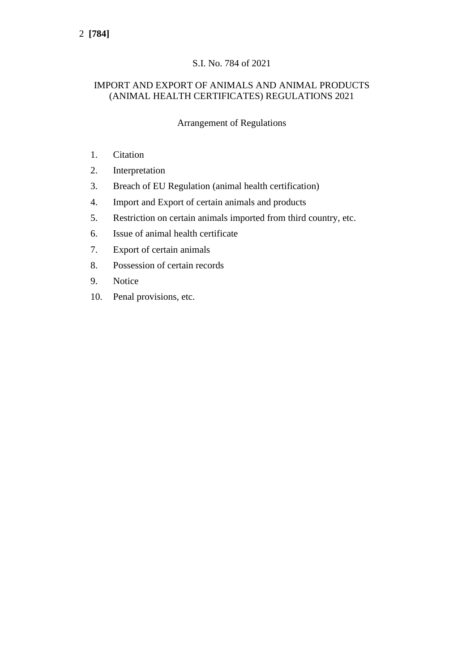# S.I. No. 784 of 2021

## IMPORT AND EXPORT OF ANIMALS AND ANIMAL PRODUCTS (ANIMAL HEALTH CERTIFICATES) REGULATIONS 2021

Arrangement of Regulations

- 1. Citation
- 2. Interpretation
- 3. Breach of EU Regulation (animal health certification)
- 4. Import and Export of certain animals and products
- 5. Restriction on certain animals imported from third country, etc.
- 6. Issue of animal health certificate
- 7. Export of certain animals
- 8. Possession of certain records
- 9. Notice
- 10. Penal provisions, etc.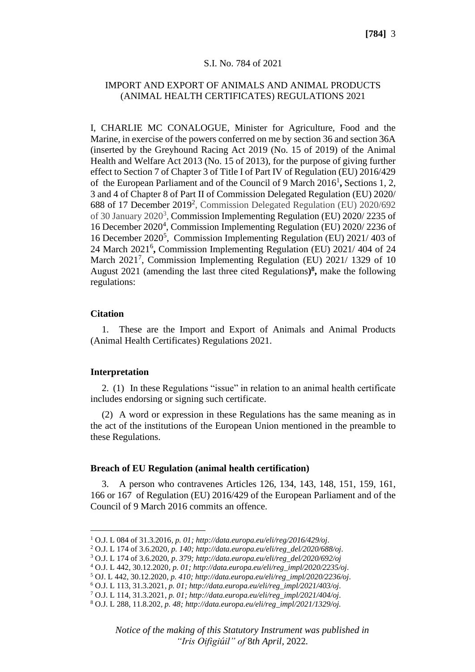#### S.I. No. 784 of 2021

## IMPORT AND EXPORT OF ANIMALS AND ANIMAL PRODUCTS (ANIMAL HEALTH CERTIFICATES) REGULATIONS 2021

I, CHARLIE MC CONALOGUE, Minister for Agriculture, Food and the Marine, in exercise of the powers conferred on me by section 36 and section 36A (inserted by the Greyhound Racing Act 2019 (No. 15 of 2019) of the Animal Health and Welfare Act 2013 (No. 15 of 2013), for the purpose of giving further effect to Section 7 of Chapter 3 of Title I of Part IV of Regulation (EU) 2016/429 of the European Parliament and of the Council of 9 March 2016<sup>1</sup>, Sections 1, 2, 3 and 4 of Chapter 8 of Part II of Commission Delegated Regulation (EU) 2020/ 688 of 17 December 2019<sup>2</sup>, Commission Delegated Regulation (EU) 2020/692 of 30 January  $2020^3$ , Commission Implementing Regulation (EU)  $2020/2235$  of 16 December 2020<sup>4</sup> , Commission Implementing Regulation (EU) 2020/ 2236 of 16 December 2020<sup>5</sup> , Commission Implementing Regulation (EU) 2021/ 403 of 24 March 2021<sup>6</sup>, Commission Implementing Regulation (EU) 2021/404 of 24 March 2021<sup>7</sup>, Commission Implementing Regulation (EU) 2021/1329 of 10 August 2021 (amending the last three cited Regulations**) 8 ,** make the following regulations:

#### **Citation**

1. These are the Import and Export of Animals and Animal Products (Animal Health Certificates) Regulations 2021.

#### **Interpretation**

2. (1) In these Regulations "issue" in relation to an animal health certificate includes endorsing or signing such certificate.

(2) A word or expression in these Regulations has the same meaning as in the act of the institutions of the European Union mentioned in the preamble to these Regulations.

#### **Breach of EU Regulation (animal health certification)**

3. A person who contravenes Articles 126, 134, 143, 148, 151, 159, 161, 166 or 167 of Regulation (EU) 2016/429 of the European Parliament and of the Council of 9 March 2016 commits an offence.

<sup>1</sup> O.J. L 084 of 31.3.2016*, p. 01[; http://data.europa.eu/eli/reg/2016/429/oj.](http://data.europa.eu/eli/reg/2016/429/oj)*

<sup>2</sup> O.J. L 174 of 3.6.2020*, p. 140[; http://data.europa.eu/eli/reg\\_del/2020/688/oj.](http://data.europa.eu/eli/reg_del/2020/688/oj)*

<sup>3</sup> O.J. L 174 of 3.6.2020, *p*. *379; [http://data.europa.eu/eli/reg\\_del/2020/692/oj](http://data.europa.eu/eli/reg_del/2020/692/oj)*

<sup>4</sup> O.J. L 442, 30.12.2020*, p. 01; [http://data.europa.eu/eli/reg\\_impl/2020/2235/oj.](http://data.europa.eu/eli/reg_impl/2020/2235/oj)*

<sup>5</sup> OJ. L 442, 30.12.2020*, p. 410[; http://data.europa.eu/eli/reg\\_impl/2020/2236/oj.](http://data.europa.eu/eli/reg_impl/2020/2236/oj)*

<sup>6</sup> O.J. L 113, 31.3.2021*, p. 01; [http://data.europa.eu/eli/reg\\_impl/2021/403/oj.](http://data.europa.eu/eli/reg_impl/2021/403/oj)*

<sup>7</sup> O.J. L 114, 31.3.2021*, p. 01; [http://data.europa.eu/eli/reg\\_impl/2021/404/oj.](http://data.europa.eu/eli/reg_impl/2021/404/oj)*

<sup>8</sup> O.J. L 288, 11.8.202*, p. 48; [http://data.europa.eu/eli/reg\\_impl/2021/1329/oj.](http://data.europa.eu/eli/reg_impl/2021/1329/oj)*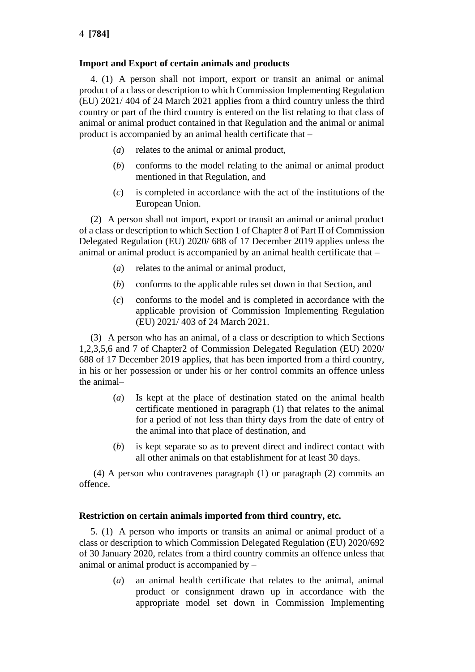## **Import and Export of certain animals and products**

4. (1) A person shall not import, export or transit an animal or animal product of a class or description to which Commission Implementing Regulation (EU) 2021/ 404 of 24 March 2021 applies from a third country unless the third country or part of the third country is entered on the list relating to that class of animal or animal product contained in that Regulation and the animal or animal product is accompanied by an animal health certificate that –

- (*a*) relates to the animal or animal product,
- (*b*) conforms to the model relating to the animal or animal product mentioned in that Regulation, and
- (*c*) is completed in accordance with the act of the institutions of the European Union.

(2) A person shall not import, export or transit an animal or animal product of a class or description to which Section 1 of Chapter 8 of Part II of Commission Delegated Regulation (EU) 2020/ 688 of 17 December 2019 applies unless the animal or animal product is accompanied by an animal health certificate that –

- (*a*) relates to the animal or animal product,
- (*b*) conforms to the applicable rules set down in that Section, and
- (*c*) conforms to the model and is completed in accordance with the applicable provision of Commission Implementing Regulation (EU) 2021/ 403 of 24 March 2021.

(3) A person who has an animal, of a class or description to which Sections 1,2,3,5,6 and 7 of Chapter2 of Commission Delegated Regulation (EU) 2020/ 688 of 17 December 2019 applies, that has been imported from a third country, in his or her possession or under his or her control commits an offence unless the animal–

- (*a*) Is kept at the place of destination stated on the animal health certificate mentioned in paragraph (1) that relates to the animal for a period of not less than thirty days from the date of entry of the animal into that place of destination, and
- (*b*) is kept separate so as to prevent direct and indirect contact with all other animals on that establishment for at least 30 days.

(4) A person who contravenes paragraph (1) or paragraph (2) commits an offence.

## **Restriction on certain animals imported from third country, etc.**

5. (1) A person who imports or transits an animal or animal product of a class or description to which Commission Delegated Regulation (EU) 2020/692 of 30 January 2020, relates from a third country commits an offence unless that animal or animal product is accompanied by –

> (*a*) an animal health certificate that relates to the animal, animal product or consignment drawn up in accordance with the appropriate model set down in Commission Implementing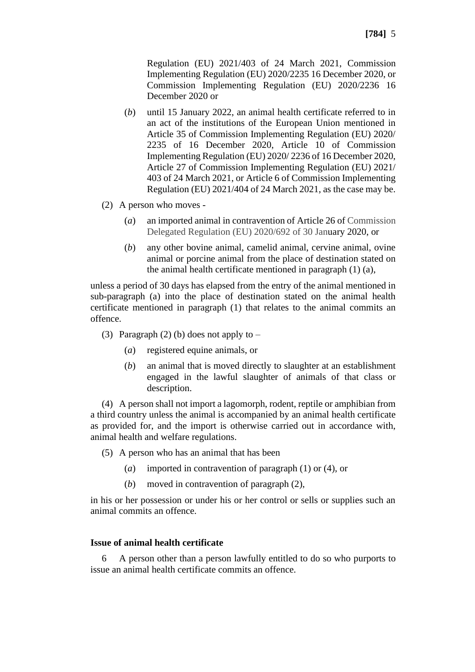Regulation (EU) 2021/403 of 24 March 2021, Commission Implementing Regulation (EU) 2020/2235 16 December 2020, or Commission Implementing Regulation (EU) 2020/2236 16 December 2020 or

- (*b*) until 15 January 2022, an animal health certificate referred to in an act of the institutions of the European Union mentioned in Article 35 of Commission Implementing Regulation (EU) 2020/ 2235 of 16 December 2020, Article 10 of Commission Implementing Regulation (EU) 2020/ 2236 of 16 December 2020, Article 27 of Commission Implementing Regulation (EU) 2021/ 403 of 24 March 2021, or Article 6 of Commission Implementing Regulation (EU) 2021/404 of 24 March 2021, as the case may be.
- (2) A person who moves
	- (*a*) an imported animal in contravention of Article 26 of Commission Delegated Regulation (EU) 2020/692 of 30 January 2020, or
	- (*b*) any other bovine animal, camelid animal, cervine animal, ovine animal or porcine animal from the place of destination stated on the animal health certificate mentioned in paragraph (1) (a),

unless a period of 30 days has elapsed from the entry of the animal mentioned in sub-paragraph (a) into the place of destination stated on the animal health certificate mentioned in paragraph (1) that relates to the animal commits an offence.

- (3) Paragraph (2) (b) does not apply to  $-$ 
	- (*a*) registered equine animals, or
	- (*b*) an animal that is moved directly to slaughter at an establishment engaged in the lawful slaughter of animals of that class or description.

(4) A person shall not import a lagomorph, rodent, reptile or amphibian from a third country unless the animal is accompanied by an animal health certificate as provided for, and the import is otherwise carried out in accordance with, animal health and welfare regulations.

(5) A person who has an animal that has been

- (*a*) imported in contravention of paragraph (1) or (4), or
- (*b*) moved in contravention of paragraph (2),

in his or her possession or under his or her control or sells or supplies such an animal commits an offence.

#### **Issue of animal health certificate**

6 A person other than a person lawfully entitled to do so who purports to issue an animal health certificate commits an offence.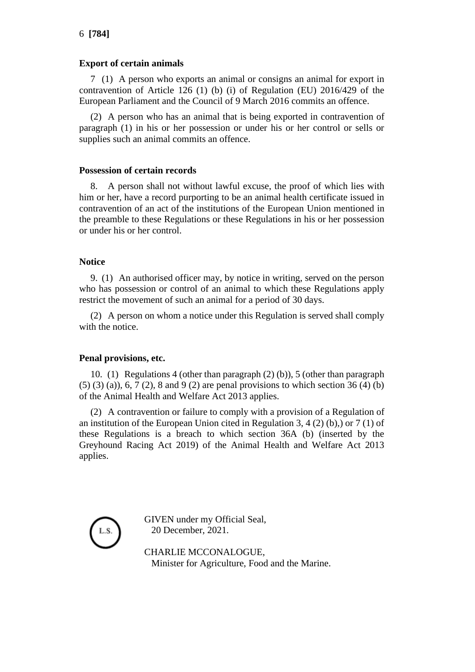## **Export of certain animals**

7 (1) A person who exports an animal or consigns an animal for export in contravention of Article 126 (1) (b) (i) of Regulation (EU)  $2016/429$  of the European Parliament and the Council of 9 March 2016 commits an offence.

(2) A person who has an animal that is being exported in contravention of paragraph (1) in his or her possession or under his or her control or sells or supplies such an animal commits an offence.

#### **Possession of certain records**

8. A person shall not without lawful excuse, the proof of which lies with him or her, have a record purporting to be an animal health certificate issued in contravention of an act of the institutions of the European Union mentioned in the preamble to these Regulations or these Regulations in his or her possession or under his or her control.

## **Notice**

9. (1) An authorised officer may, by notice in writing, served on the person who has possession or control of an animal to which these Regulations apply restrict the movement of such an animal for a period of 30 days.

(2) A person on whom a notice under this Regulation is served shall comply with the notice.

## **Penal provisions, etc.**

10. (1) Regulations 4 (other than paragraph (2) (b)), 5 (other than paragraph (5) (3) (a)), 6, 7 (2), 8 and 9 (2) are penal provisions to which section 36 (4) (b) of the Animal Health and Welfare Act 2013 applies.

(2) A contravention or failure to comply with a provision of a Regulation of an institution of the European Union cited in Regulation 3, 4 (2) (b),) or 7 (1) of these Regulations is a breach to which section 36A (b) (inserted by the Greyhound Racing Act 2019) of the Animal Health and Welfare Act 2013 applies.



GIVEN under my Official Seal, 20 December, 2021.

CHARLIE MCCONALOGUE, Minister for Agriculture, Food and the Marine.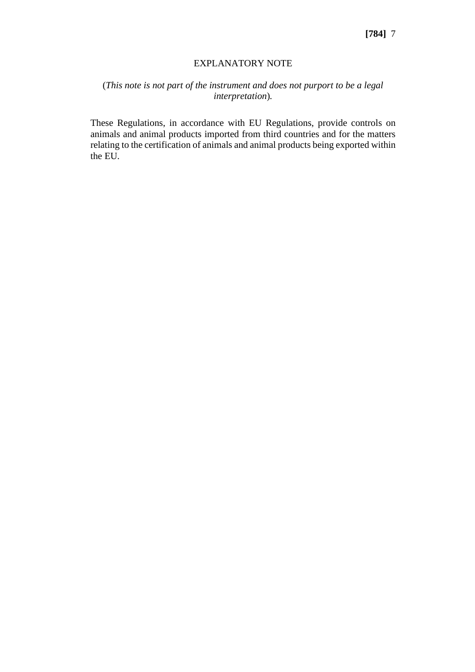#### EXPLANATORY NOTE

## (*This note is not part of the instrument and does not purport to be a legal interpretation*)*.*

These Regulations, in accordance with EU Regulations, provide controls on animals and animal products imported from third countries and for the matters relating to the certification of animals and animal products being exported within the EU.